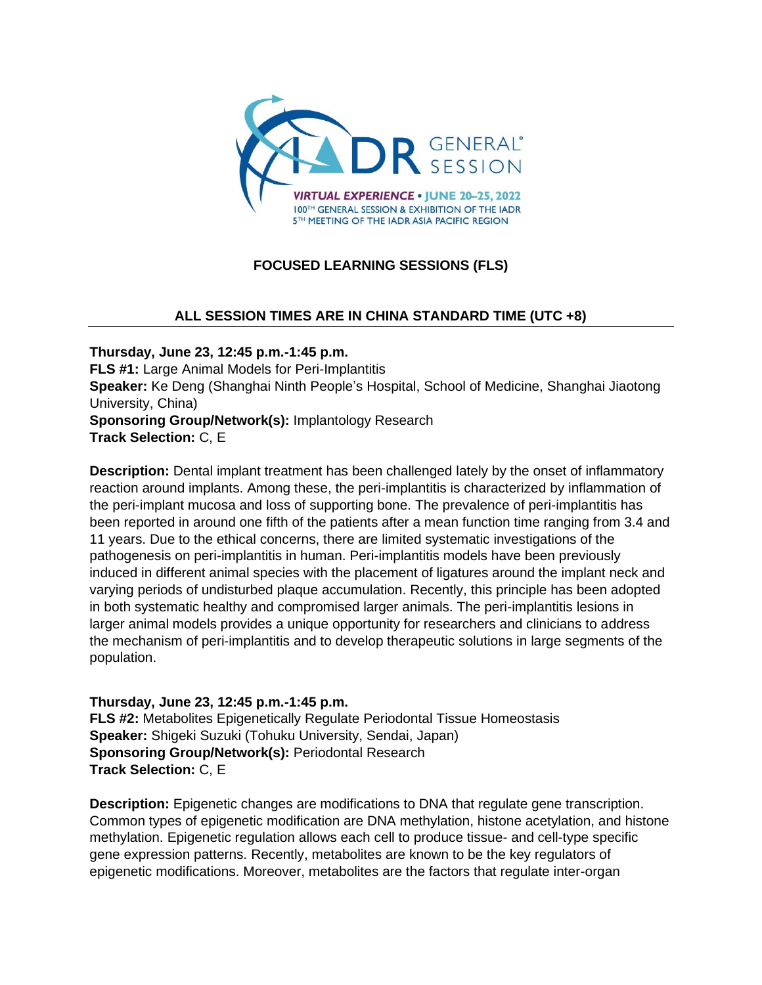

# **FOCUSED LEARNING SESSIONS (FLS)**

## **ALL SESSION TIMES ARE IN CHINA STANDARD TIME (UTC +8)**

**Thursday, June 23, 12:45 p.m.-1:45 p.m. FLS #1:** Large Animal Models for Peri-Implantitis **Speaker:** Ke Deng (Shanghai Ninth People's Hospital, School of Medicine, Shanghai Jiaotong University, China) **Sponsoring Group/Network(s):** Implantology Research **Track Selection:** C, E

**Description:** Dental implant treatment has been challenged lately by the onset of inflammatory reaction around implants. Among these, the peri-implantitis is characterized by inflammation of the peri-implant mucosa and loss of supporting bone. The prevalence of peri-implantitis has been reported in around one fifth of the patients after a mean function time ranging from 3.4 and 11 years. Due to the ethical concerns, there are limited systematic investigations of the pathogenesis on peri-implantitis in human. Peri-implantitis models have been previously induced in different animal species with the placement of ligatures around the implant neck and varying periods of undisturbed plaque accumulation. Recently, this principle has been adopted in both systematic healthy and compromised larger animals. The peri-implantitis lesions in larger animal models provides a unique opportunity for researchers and clinicians to address the mechanism of peri-implantitis and to develop therapeutic solutions in large segments of the population.

**Thursday, June 23, 12:45 p.m.-1:45 p.m. FLS #2:** Metabolites Epigenetically Regulate Periodontal Tissue Homeostasis **Speaker:** Shigeki Suzuki (Tohuku University, Sendai, Japan) **Sponsoring Group/Network(s):** Periodontal Research **Track Selection:** C, E

**Description:** Epigenetic changes are modifications to DNA that regulate gene transcription. Common types of epigenetic modification are DNA methylation, histone acetylation, and histone methylation. Epigenetic regulation allows each cell to produce tissue- and cell-type specific gene expression patterns. Recently, metabolites are known to be the key regulators of epigenetic modifications. Moreover, metabolites are the factors that regulate inter-organ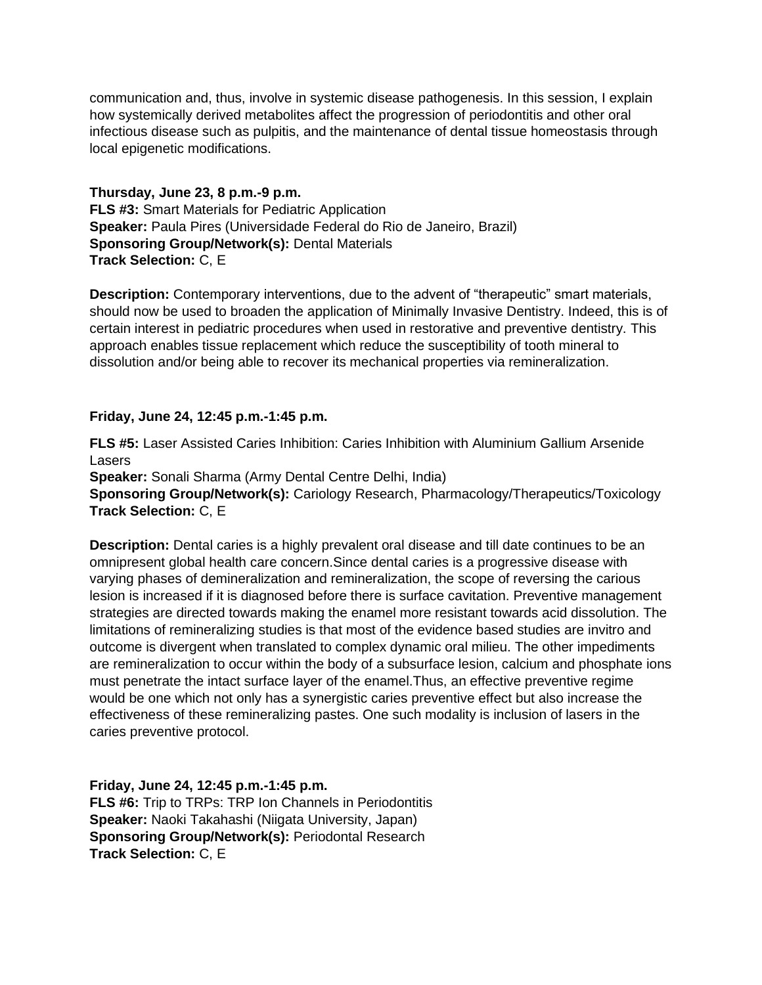communication and, thus, involve in systemic disease pathogenesis. In this session, I explain how systemically derived metabolites affect the progression of periodontitis and other oral infectious disease such as pulpitis, and the maintenance of dental tissue homeostasis through local epigenetic modifications.

**Thursday, June 23, 8 p.m.-9 p.m. FLS #3:** Smart Materials for Pediatric Application **Speaker:** Paula Pires (Universidade Federal do Rio de Janeiro, Brazil) **Sponsoring Group/Network(s):** Dental Materials **Track Selection:** C, E

**Description:** Contemporary interventions, due to the advent of "therapeutic" smart materials, should now be used to broaden the application of Minimally Invasive Dentistry. Indeed, this is of certain interest in pediatric procedures when used in restorative and preventive dentistry. This approach enables tissue replacement which reduce the susceptibility of tooth mineral to dissolution and/or being able to recover its mechanical properties via remineralization.

#### **Friday, June 24, 12:45 p.m.-1:45 p.m.**

**FLS #5:** Laser Assisted Caries Inhibition: Caries Inhibition with Aluminium Gallium Arsenide Lasers

**Speaker:** Sonali Sharma (Army Dental Centre Delhi, India) **Sponsoring Group/Network(s):** Cariology Research, Pharmacology/Therapeutics/Toxicology **Track Selection:** C, E

**Description:** Dental caries is a highly prevalent oral disease and till date continues to be an omnipresent global health care concern.Since dental caries is a progressive disease with varying phases of demineralization and remineralization, the scope of reversing the carious lesion is increased if it is diagnosed before there is surface cavitation. Preventive management strategies are directed towards making the enamel more resistant towards acid dissolution. The limitations of remineralizing studies is that most of the evidence based studies are invitro and outcome is divergent when translated to complex dynamic oral milieu. The other impediments are remineralization to occur within the body of a subsurface lesion, calcium and phosphate ions must penetrate the intact surface layer of the enamel.Thus, an effective preventive regime would be one which not only has a synergistic caries preventive effect but also increase the effectiveness of these remineralizing pastes. One such modality is inclusion of lasers in the caries preventive protocol.

**Friday, June 24, 12:45 p.m.-1:45 p.m. FLS #6:** Trip to TRPs: TRP Ion Channels in Periodontitis **Speaker:** Naoki Takahashi (Niigata University, Japan) **Sponsoring Group/Network(s):** Periodontal Research **Track Selection:** C, E